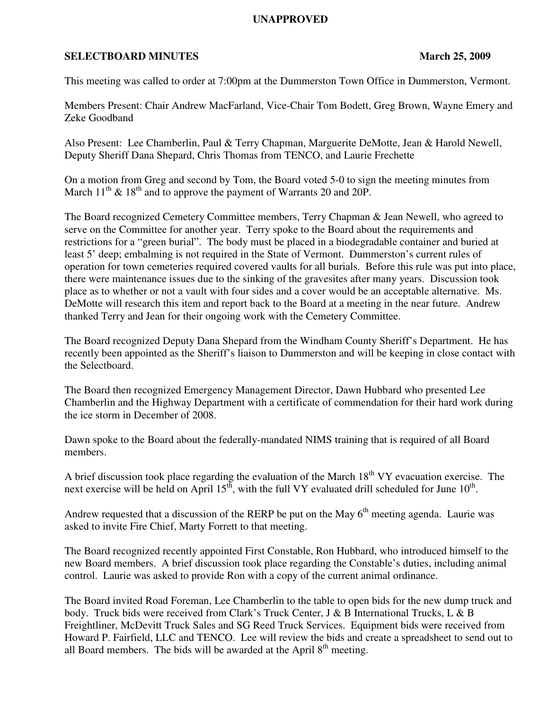# **UNAPPROVED**

# **SELECTBOARD MINUTES** March 25, 2009

This meeting was called to order at 7:00pm at the Dummerston Town Office in Dummerston, Vermont.

Members Present: Chair Andrew MacFarland, Vice-Chair Tom Bodett, Greg Brown, Wayne Emery and Zeke Goodband

Also Present: Lee Chamberlin, Paul & Terry Chapman, Marguerite DeMotte, Jean & Harold Newell, Deputy Sheriff Dana Shepard, Chris Thomas from TENCO, and Laurie Frechette

On a motion from Greg and second by Tom, the Board voted 5-0 to sign the meeting minutes from March  $11^{th}$  &  $18^{th}$  and to approve the payment of Warrants 20 and 20P.

The Board recognized Cemetery Committee members, Terry Chapman & Jean Newell, who agreed to serve on the Committee for another year. Terry spoke to the Board about the requirements and restrictions for a "green burial". The body must be placed in a biodegradable container and buried at least 5' deep; embalming is not required in the State of Vermont. Dummerston's current rules of operation for town cemeteries required covered vaults for all burials. Before this rule was put into place, there were maintenance issues due to the sinking of the gravesites after many years. Discussion took place as to whether or not a vault with four sides and a cover would be an acceptable alternative. Ms. DeMotte will research this item and report back to the Board at a meeting in the near future. Andrew thanked Terry and Jean for their ongoing work with the Cemetery Committee.

The Board recognized Deputy Dana Shepard from the Windham County Sheriff's Department. He has recently been appointed as the Sheriff's liaison to Dummerston and will be keeping in close contact with the Selectboard.

The Board then recognized Emergency Management Director, Dawn Hubbard who presented Lee Chamberlin and the Highway Department with a certificate of commendation for their hard work during the ice storm in December of 2008.

Dawn spoke to the Board about the federally-mandated NIMS training that is required of all Board members.

A brief discussion took place regarding the evaluation of the March  $18<sup>th</sup> VY$  evacuation exercise. The next exercise will be held on April  $15^{t}$ , with the full VY evaluated drill scheduled for June  $10^{t}$ .

Andrew requested that a discussion of the RERP be put on the May  $6<sup>th</sup>$  meeting agenda. Laurie was asked to invite Fire Chief, Marty Forrett to that meeting.

The Board recognized recently appointed First Constable, Ron Hubbard, who introduced himself to the new Board members. A brief discussion took place regarding the Constable's duties, including animal control. Laurie was asked to provide Ron with a copy of the current animal ordinance.

The Board invited Road Foreman, Lee Chamberlin to the table to open bids for the new dump truck and body. Truck bids were received from Clark's Truck Center, J & B International Trucks, L & B Freightliner, McDevitt Truck Sales and SG Reed Truck Services. Equipment bids were received from Howard P. Fairfield, LLC and TENCO. Lee will review the bids and create a spreadsheet to send out to all Board members. The bids will be awarded at the April  $8<sup>th</sup>$  meeting.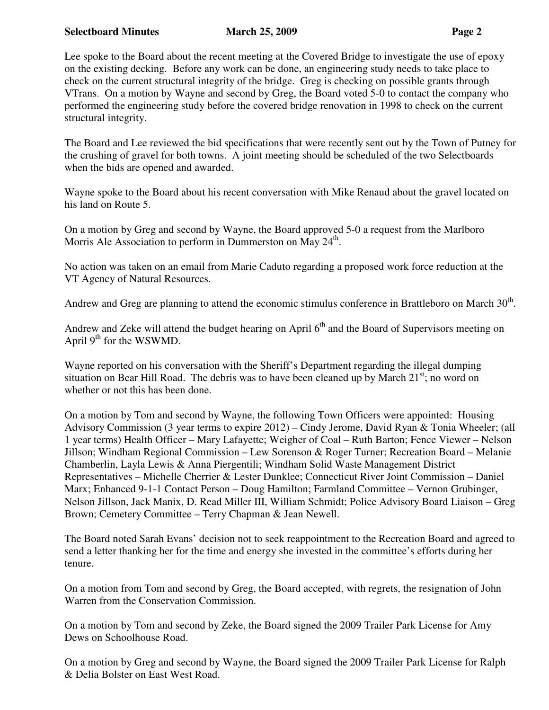### **Selectboard Minutes March 25, 2009 Page 2 2 All 2018 Page 2 2 All 25, 2009 Page 2 2 All 25 All 25 All 25 All 26 All 26 All 26 All 26 All 26 All 26 All 26 All 26 All 26 All 26 All 26 All 26 All 26 All 26 All 26 All 26 All**

Lee spoke to the Board about the recent meeting at the Covered Bridge to investigate the use of epoxy on the existing decking. Before any work can be done, an engineering study needs to take place to check on the current structural integrity of the bridge. Greg is checking on possible grants through VTrans. On a motion by Wayne and second by Greg, the Board voted 5-0 to contact the company who performed the engineering study before the covered bridge renovation in 1998 to check on the current structural integrity.

The Board and Lee reviewed the bid specifications that were recently sent out by the Town of Putney for the crushing of gravel for both towns. A joint meeting should be scheduled of the two Selectboards when the bids are opened and awarded.

Wayne spoke to the Board about his recent conversation with Mike Renaud about the gravel located on his land on Route 5.

On a motion by Greg and second by Wayne, the Board approved 5-0 a request from the Marlboro Morris Ale Association to perform in Dummerston on May 24<sup>th</sup>.

No action was taken on an email from Marie Caduto regarding a proposed work force reduction at the VT Agency of Natural Resources.

Andrew and Greg are planning to attend the economic stimulus conference in Brattleboro on March  $30<sup>th</sup>$ .

Andrew and Zeke will attend the budget hearing on April  $6<sup>th</sup>$  and the Board of Supervisors meeting on April  $9<sup>th</sup>$  for the WSWMD.

Wayne reported on his conversation with the Sheriff's Department regarding the illegal dumping situation on Bear Hill Road. The debris was to have been cleaned up by March  $21<sup>st</sup>$ ; no word on whether or not this has been done.

On a motion by Tom and second by Wayne, the following Town Officers were appointed: Housing Advisory Commission (3 year terms to expire 2012) – Cindy Jerome, David Ryan & Tonia Wheeler; (all 1 year terms) Health Officer – Mary Lafayette; Weigher of Coal – Ruth Barton; Fence Viewer – Nelson Jillson; Windham Regional Commission – Lew Sorenson & Roger Turner; Recreation Board – Melanie Chamberlin, Layla Lewis & Anna Piergentili; Windham Solid Waste Management District Representatives – Michelle Cherrier & Lester Dunklee; Connecticut River Joint Commission – Daniel Marx; Enhanced 9-1-1 Contact Person – Doug Hamilton; Farmland Committee – Vernon Grubinger, Nelson Jillson, Jack Manix, D. Read Miller III, William Schmidt; Police Advisory Board Liaison – Greg Brown; Cemetery Committee – Terry Chapman & Jean Newell.

The Board noted Sarah Evans' decision not to seek reappointment to the Recreation Board and agreed to send a letter thanking her for the time and energy she invested in the committee's efforts during her tenure.

On a motion from Tom and second by Greg, the Board accepted, with regrets, the resignation of John Warren from the Conservation Commission.

On a motion by Tom and second by Zeke, the Board signed the 2009 Trailer Park License for Amy Dews on Schoolhouse Road.

On a motion by Greg and second by Wayne, the Board signed the 2009 Trailer Park License for Ralph & Delia Bolster on East West Road.